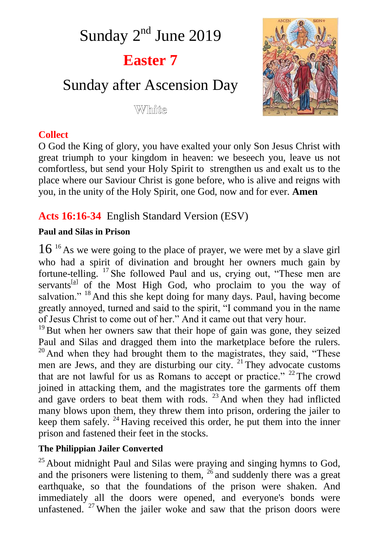Sunday 2<sup>nd</sup> June 2019 **Easter 7** Sunday after Ascension Day White



# **Collect**

O God the King of glory, you have exalted your only Son Jesus Christ with great triumph to your kingdom in heaven: we beseech you, leave us not comfortless, but send your Holy Spirit to strengthen us and exalt us to the place where our Saviour Christ is gone before, who is alive and reigns with you, in the unity of the Holy Spirit, one God, now and for ever. **Amen**

# **Acts 16:16-34** English Standard Version (ESV)

### **Paul and Silas in Prison**

16<sup>16</sup> As we were going to the place of prayer, we were met by a slave girl who had a spirit of divination and brought her owners much gain by fortune-telling. <sup>17</sup> She followed Paul and us, crying out, "These men are servants<sup>[a]</sup> of the Most High God, who proclaim to you the way of salvation." <sup>18</sup> And this she kept doing for many days. Paul, having become greatly annoyed, turned and said to the spirit, "I command you in the name of Jesus Christ to come out of her." And it came out that very hour.

 $19$ But when her owners saw that their hope of gain was gone, they seized Paul and Silas and dragged them into the marketplace before the rulers.  $20$  And when they had brought them to the magistrates, they said, "These men are Jews, and they are disturbing our city. <sup>21</sup> They advocate customs that are not lawful for us as Romans to accept or practice."  $22$  The crowd joined in attacking them, and the magistrates tore the garments off them and gave orders to beat them with rods.  $23$  And when they had inflicted many blows upon them, they threw them into prison, ordering the jailer to keep them safely.  $^{24}$  Having received this order, he put them into the inner prison and fastened their feet in the stocks.

## **The Philippian Jailer Converted**

 $25$  About midnight Paul and Silas were praying and singing hymns to God, and the prisoners were listening to them,  $26$  and suddenly there was a great earthquake, so that the foundations of the prison were shaken. And immediately all the doors were opened, and everyone's bonds were unfastened.  $27$  When the jailer woke and saw that the prison doors were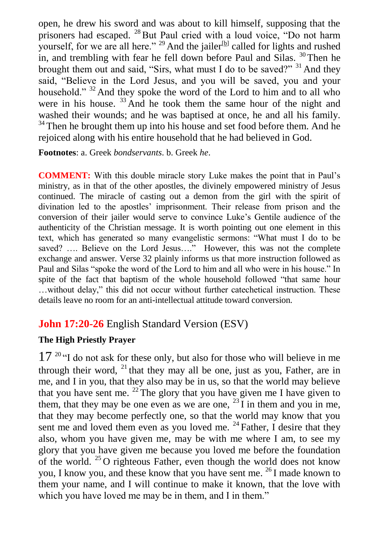open, he drew his sword and was about to kill himself, supposing that the prisoners had escaped. <sup>28</sup> But Paul cried with a loud voice, "Do not harm yourself, for we are all here."  $29$  And the jailer  $[b]$  called for lights and rushed in, and trembling with fear he fell down before Paul and Silas.  $30$  Then he brought them out and said, "Sirs, what must I do to be saved?"  $31$  And they said, "Believe in the Lord Jesus, and you will be saved, you and your household." <sup>32</sup> And they spoke the word of the Lord to him and to all who were in his house. <sup>33</sup> And he took them the same hour of the night and washed their wounds; and he was baptised at once, he and all his family.  $34$  Then he brought them up into his house and set food before them. And he rejoiced along with his entire household that he had believed in God.

**Footnotes**: a. Greek *bondservants*. b. Greek *he*.

**COMMENT:** With this double miracle story Luke makes the point that in Paul's ministry, as in that of the other apostles, the divinely empowered ministry of Jesus continued. The miracle of casting out a demon from the girl with the spirit of divination led to the apostles' imprisonment. Their release from prison and the conversion of their jailer would serve to convince Luke's Gentile audience of the authenticity of the Christian message. It is worth pointing out one element in this text, which has generated so many evangelistic sermons: "What must I do to be saved? .... Believe on the Lord Jesus...." However, this was not the complete exchange and answer. Verse 32 plainly informs us that more instruction followed as Paul and Silas "spoke the word of the Lord to him and all who were in his house." In spite of the fact that baptism of the whole household followed "that same hour …without delay," this did not occur without further catechetical instruction. These details leave no room for an anti-intellectual attitude toward conversion.

# **John 17:20-26** English Standard Version (ESV)

### **The High Priestly Prayer**

 $17<sup>20</sup>$  "I do not ask for these only, but also for those who will believe in me through their word,  $^{21}$  that they may all be one, just as you, Father, are in me, and I in you, that they also may be in us, so that the world may believe that you have sent me.  $^{22}$  The glory that you have given me I have given to them, that they may be one even as we are one,  $^{23}$  I in them and you in me, that they may become perfectly one, so that the world may know that you sent me and loved them even as you loved me.  $^{24}$  Father, I desire that they also, whom you have given me, may be with me where I am, to see my glory that you have given me because you loved me before the foundation of the world.  $25$  O righteous Father, even though the world does not know you, I know you, and these know that you have sent me. <sup>26</sup> I made known to them your name, and I will continue to make it known, that the love with which you have loved me may be in them, and I in them."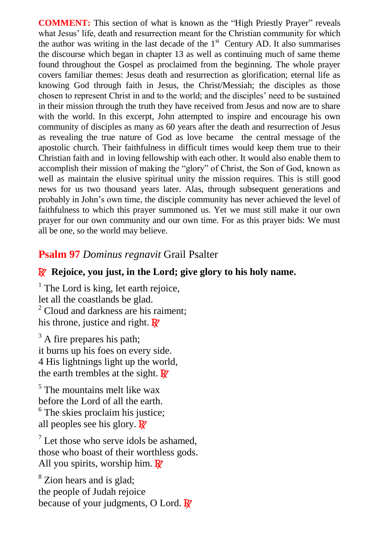**COMMENT:** This section of what is known as the "High Priestly Prayer" reveals what Jesus' life, death and resurrection meant for the Christian community for which the author was writing in the last decade of the  $1<sup>st</sup>$  Century AD. It also summarises the discourse which began in chapter 13 as well as continuing much of same theme found throughout the Gospel as proclaimed from the beginning. The whole prayer covers familiar themes: Jesus death and resurrection as glorification; eternal life as knowing God through faith in Jesus, the Christ/Messiah; the disciples as those chosen to represent Christ in and to the world; and the disciples' need to be sustained in their mission through the truth they have received from Jesus and now are to share with the world. In this excerpt, John attempted to inspire and encourage his own community of disciples as many as 60 years after the death and resurrection of Jesus as revealing the true nature of God as love became the central message of the apostolic church. Their faithfulness in difficult times would keep them true to their Christian faith and in loving fellowship with each other. It would also enable them to accomplish their mission of making the "glory" of Christ, the Son of God, known as well as maintain the elusive spiritual unity the mission requires. This is still good news for us two thousand years later. Alas, through subsequent generations and probably in John's own time, the disciple community has never achieved the level of faithfulness to which this prayer summoned us. Yet we must still make it our own prayer for our own community and our own time. For as this prayer bids: We must all be one, so the world may believe.

### **Psalm 97** *Dominus regnavit* Grail Psalter

#### R **Rejoice, you just, in the Lord; give glory to his holy name.**

 $<sup>1</sup>$  The Lord is king, let earth rejoice,</sup> let all the coastlands be glad.  $2$  Cloud and darkness are his raiment; his throne, justice and right.  $\mathbb{R}^7$ 

 $3$  A fire prepares his path; it burns up his foes on every side. 4 His lightnings light up the world, the earth trembles at the sight.  $\mathbf{R}^{\prime}$ 

 $<sup>5</sup>$  The mountains melt like wax</sup> before the Lord of all the earth. <sup>6</sup> The skies proclaim his justice; all peoples see his glory.  $\mathbb{R}^7$ 

 $<sup>7</sup>$  Let those who serve idols be ashamed.</sup> those who boast of their worthless gods. All you spirits, worship him.  $\mathbb{R}^7$ 

<sup>8</sup> Zion hears and is glad: the people of Judah rejoice because of your judgments, O Lord.  $\mathbb{R}^7$